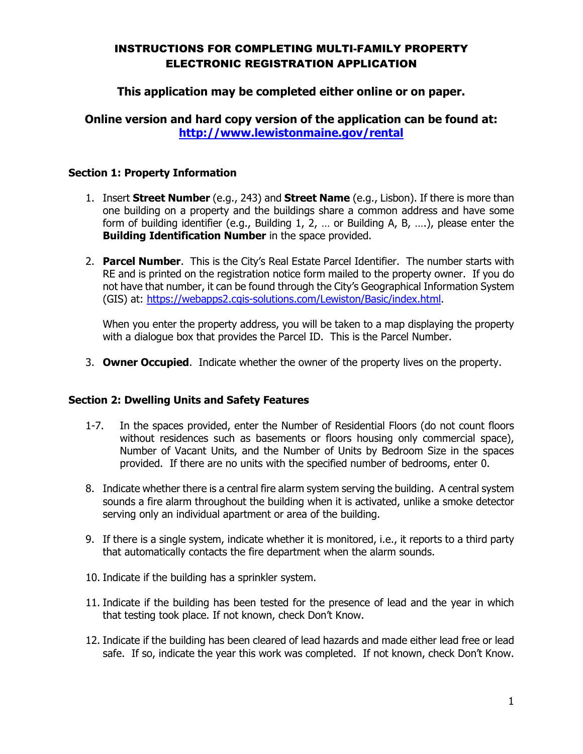## INSTRUCTIONS FOR COMPLETING MULTI-FAMILY PROPERTY ELECTRONIC REGISTRATION APPLICATION

# **This application may be completed either online or on paper.**

# **Online version and hard copy version of the application can be found at: <http://www.lewistonmaine.gov/rental>**

### **Section 1: Property Information**

- 1. Insert **Street Number** (e.g., 243) and **Street Name** (e.g., Lisbon). If there is more than one building on a property and the buildings share a common address and have some form of building identifier (e.g., Building 1, 2, … or Building A, B, ….), please enter the **Building Identification Number** in the space provided.
- 2. **Parcel Number**. This is the City's Real Estate Parcel Identifier. The number starts with RE and is printed on the registration notice form mailed to the property owner. If you do not have that number, it can be found through the City's Geographical Information System (GIS) at: [https://webapps2.cgis-solutions.com/Lewiston/Basic/index.html.](https://webapps2.cgis-solutions.com/Lewiston/Basic/index.html)

When you enter the property address, you will be taken to a map displaying the property with a dialogue box that provides the Parcel ID. This is the Parcel Number.

3. **Owner Occupied**. Indicate whether the owner of the property lives on the property.

#### **Section 2: Dwelling Units and Safety Features**

- 1-7. In the spaces provided, enter the Number of Residential Floors (do not count floors without residences such as basements or floors housing only commercial space), Number of Vacant Units, and the Number of Units by Bedroom Size in the spaces provided. If there are no units with the specified number of bedrooms, enter 0.
- 8. Indicate whether there is a central fire alarm system serving the building. A central system sounds a fire alarm throughout the building when it is activated, unlike a smoke detector serving only an individual apartment or area of the building.
- 9. If there is a single system, indicate whether it is monitored, i.e., it reports to a third party that automatically contacts the fire department when the alarm sounds.
- 10. Indicate if the building has a sprinkler system.
- 11. Indicate if the building has been tested for the presence of lead and the year in which that testing took place. If not known, check Don't Know.
- 12. Indicate if the building has been cleared of lead hazards and made either lead free or lead safe. If so, indicate the year this work was completed. If not known, check Don't Know.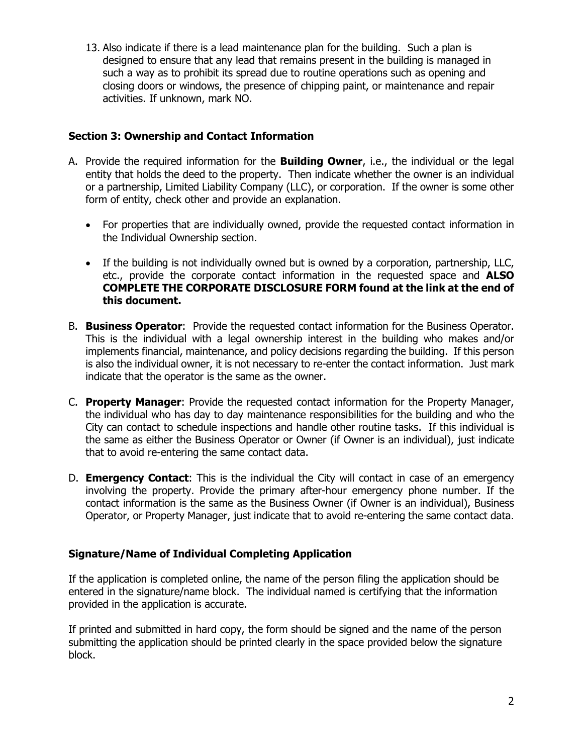13. Also indicate if there is a lead maintenance plan for the building. Such a plan is designed to ensure that any lead that remains present in the building is managed in such a way as to prohibit its spread due to routine operations such as opening and closing doors or windows, the presence of chipping paint, or maintenance and repair activities. If unknown, mark NO.

## **Section 3: Ownership and Contact Information**

- A. Provide the required information for the **Building Owner**, i.e., the individual or the legal entity that holds the deed to the property. Then indicate whether the owner is an individual or a partnership, Limited Liability Company (LLC), or corporation. If the owner is some other form of entity, check other and provide an explanation.
	- For properties that are individually owned, provide the requested contact information in the Individual Ownership section.
	- If the building is not individually owned but is owned by a corporation, partnership, LLC, etc., provide the corporate contact information in the requested space and **ALSO COMPLETE THE CORPORATE DISCLOSURE FORM found at the link at the end of this document.**
- B. **Business Operator**: Provide the requested contact information for the Business Operator. This is the individual with a legal ownership interest in the building who makes and/or implements financial, maintenance, and policy decisions regarding the building. If this person is also the individual owner, it is not necessary to re-enter the contact information. Just mark indicate that the operator is the same as the owner.
- C. **Property Manager**: Provide the requested contact information for the Property Manager, the individual who has day to day maintenance responsibilities for the building and who the City can contact to schedule inspections and handle other routine tasks. If this individual is the same as either the Business Operator or Owner (if Owner is an individual), just indicate that to avoid re-entering the same contact data.
- D. **Emergency Contact**: This is the individual the City will contact in case of an emergency involving the property. Provide the primary after-hour emergency phone number. If the contact information is the same as the Business Owner (if Owner is an individual), Business Operator, or Property Manager, just indicate that to avoid re-entering the same contact data.

## **Signature/Name of Individual Completing Application**

If the application is completed online, the name of the person filing the application should be entered in the signature/name block. The individual named is certifying that the information provided in the application is accurate.

If printed and submitted in hard copy, the form should be signed and the name of the person submitting the application should be printed clearly in the space provided below the signature block.